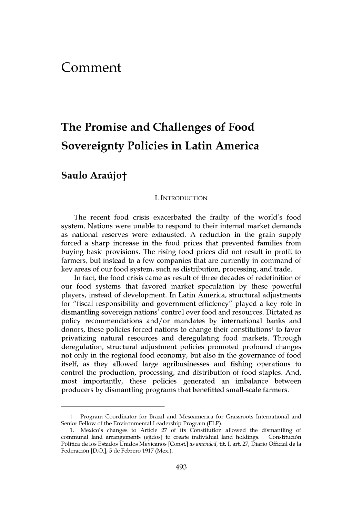## **Comment**

# **The Promise and Challenges of Food Sovereignty Policies in Latin America**

Saulo Araújot

#### I. INTRODUCTION

The recent food crisis exacerbated the frailty of the world's food system. Nations were unable to respond to their internal market demands as national reserves were exhausted. **A** reduction in the grain supply forced a sharp increase in the food prices that prevented families from buying basic provisions. The rising food prices did not result in profit to farmers, but instead to a few companies that are currently in command of key areas of our food system, such as distribution, processing, and trade.

In fact, the food crisis came as result of three decades of redefinition of our food systems that favored market speculation **by** these powerful players, instead of development. In Latin America, structural adjustments for "fiscal responsibility and government efficiency" played a key role in dismantling sovereign nations' control over food and resources. Dictated as policy recommendations and/or mandates **by** international banks and donors, these policies forced nations to change their constitutions<sup>1</sup> to favor privatizing natural resources and deregulating food markets. Through deregulation, structural adjustment policies promoted profound changes not only in the regional food economy, but also in the governance of food itself, as they allowed large agribusinesses and fishing operations to control the production, processing, and distribution of food staples. And, most importantly, these policies generated an imbalance between producers **by** dismantling programs that benefitted small-scale farmers.

t Program Coordinator for Brazil and Mesoamerica for Grassroots International and Senior Fellow of the Environmental Leadership Program (ELP).

**<sup>1.</sup>** Mexico's changes to Article **27** of its Constitution allowed the dismantling of communal land arrangements (ejidos) to create individual land holdings. Constituci6n Politica de los Estados Unidos Mexicanos [Const.] *as aniended, tit.* **I,** art. **27,** Diario Official de la Federacion **[D.O.], 5** de Febrero **1917** (Mex.).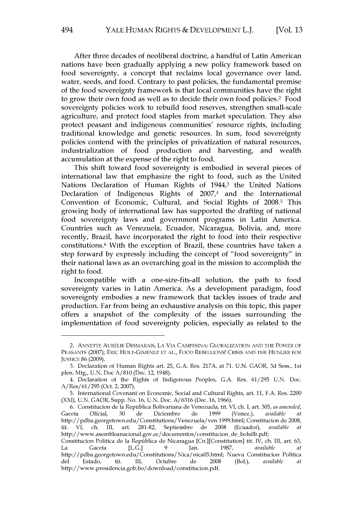After three decades of neoliberal doctrine, a handful of Latin American nations have been gradually applying a new policy framework based on food sovereignty, a concept that reclaims local governance over land, water, seeds, and food. Contrary to past policies, the fundamental premise of the food sovereignty framework is that local communities have the right to grow their own food as well as to decide their own food policies.<sup>2</sup> Food sovereignty policies work to rebuild food reserves, strengthen small-scale agriculture, and protect food staples from market speculation. They also protect peasant and indigenous communities' resource rights, including traditional knowledge and genetic resources. In sum, food sovereignty policies contend with the principles of privatization of natural resources, industrialization of food production and harvesting, and wealth accumulation at the expense of the right to food.

This shift toward food sovereignty is embodied in several pieces of international law that emphasize the right to food, such as the United Nations Declaration of Human Rights of 1944,<sup>3</sup> the United Nations Declaration of Indigenous Rights of  $2007<sup>4</sup>$  and the International Convention of Economic, Cultural, and Social Rights of **2008.5** This growing body of international law has supported the drafting of national food sovereignty laws and government programs in Latin America. Countries such as Venezuela, Ecuador, Nicaragua, Bolivia, and, more recently, Brazil, have incorporated the right to food into their respective constitutions.<sup>6</sup> With the exception of Brazil, these countries have taken a step forward **by** expressly including the concept of "food sovereignty" in their national laws as an overarching goal in the mission to accomplish the right to food.

Incompatible with a one-size-fits-all solution, the path to food sovereignty varies in Latin America. As a development paradigm, food sovereignty embodies a new framework that tackles issues of trade and production. Far from being an exhaustive analysis on this topic, this paper offers a snapshot of the complexity of the issues surrounding the implementation of food sovereignty policies, especially as related to the

<sup>2.</sup> **ANNETTE** AURELIE DESMARAIS, **LA** VIA CAMPESINA: **GLOBALIZATION AND** THE POWER OF **PEASANTS (2007);** ERIC HOLT-GIMENEZ **ET AL.,** FOOD REBELLIONS! CRISIS **AND** THE **HUNGER** FOR JUSTICE **86 (2009).**

**<sup>3.</sup>** Declaration of Human Rights art. **25, G.A.** Res. **217A,** at **71. U.N.** GAOR, **3d** Sess., 1st plen. Mtg., **U.N.** Doc **A/810** (Dec. 12, 1948).

<sup>4.</sup> Declaration of the Rights of Indigenous Peoples, **G.A.** Res. **61/295 U.N.** Doc. A/Res/61/295 (Oct. 2, **2007).**

**<sup>5.</sup>** International Covenant on Economic, Social and Cultural Rights, art. **11, F.A.** Res. 2200 (XXI), **U.N.** GAOR, Supp. No. **16, U.N.** Doc. **A/6316** (Dec. **16, 1966).**

**<sup>6.</sup>** Constitucion de la Republica Bolivariana de Venezuela, tit. VI, ch. **I,** art. **305,** *as amended,* Gaceta Oficial, **30** de Diciembre de **1999** (Venez.), *available at* http://pdba.georgetown.edu/Constitutions/Venezuela/ven 1999.html; Constitucion de **2008,** tit. VI, ch. III, art. **281-82,** Septiembre de **2008** (Ecuador), *available at* http://www.asembleanacional.gov.ec/documentos/constitucion-de-bolsilb.pdf;

Constitucion Politica de la Republica de Nicaragua [Cn.] [Constitution] tit. IV, ch. III, art. **63,** La Gaceta **[L.G.] 9** Jan. **1987,** *available at* http://pdba.georgetown.edu/Constitutions/Nica/nica05.html; Nueva Constitucion Politica del Estado, tit. **III,** Octubre de **2008** (Bol.), *available at* http://www.presidencia.gob.bo/download/constitucion.pdf.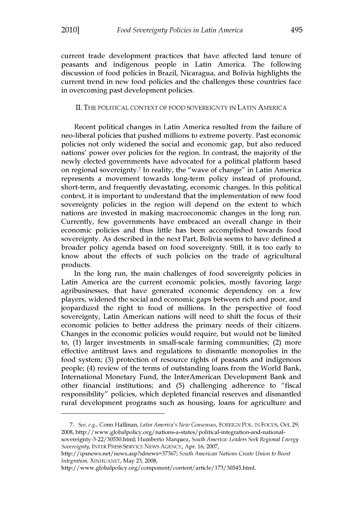current trade development practices that have affected land tenure of peasants and indigenous people in Latin America. The following discussion of food policies in Brazil, Nicaragua, and Bolivia highlights the current trend in new food policies and the challenges these countries face in overcoming past development policies.

#### II. THE POLITICAL **CONTEXT** OF FOOD SOVEREIGNTY **IN LATIN** AMERICA

Recent political changes in Latin America resulted from the failure of neo-liberal policies that pushed millions to extreme poverty. Past economic policies not only widened the social and economic gap, but also reduced nations' power over policies for the region. In contrast, the majority of the newly elected governments have advocated for a political platform based on regional sovereignty.7 In reality, the "wave of change" in Latin America represents a movement towards long-term policy instead of profound, short-term, and frequently devastating, economic changes. In this political context, it is important to understand that the implementation of new food sovereignty policies in the region will depend on the extent to which nations are invested in making macroeconomic changes in the long run. Currently, few governments have embraced an overall change in their economic policies and thus little has been accomplished towards food sovereignty. As described in the next Part, Bolivia seems to have defined a broader policy agenda based on food sovereignty. Still, it is too early to know about the effects of such policies on the trade of agricultural products.

In the long run, the main challenges of food sovereignty policies in Latin America are the current economic policies, mostly favoring large agribusinesses, that have generated economic dependency on a few players, widened the social and economic gaps between rich and poor, and jeopardized the right to food of millions. In the perspective of food sovereignty, Latin American nations will need to shift the focus of their economic policies to better address the primary needs of their citizens. Changes in the economic policies would require, but would not be limited to, **(1)** larger investments in small-scale farming communities; (2) more effective antitrust laws and regulations to dismantle monopolies in the food system; **(3)** protection of resource rights of peasants and indigenous people; (4) review of the terms of outstanding loans from the World Bank, International Monetary Fund, the InterAmerican Development Bank and other financial institutions; and **(5)** challenging adherence to "fiscal responsibility" policies, which depleted financial reserves and dismantled rural development programs such as housing, loans for agriculture and

*<sup>7.</sup>* See, *e.g.,* Conn Hallinan, *Latin Anerica's New Consensus,* FOREIGN POL. IN Focus, Oct. **29, 2008,** http://www.globalpolicy.org/nations-a-states/political-integration-and-nationalsovereignty-3-22/30550.html; Humberto Marquez, *South Anerica: Leaders Seek Regional Energy*

*Sovereignty,* INTER PRESS SERVICE NEws **AGENCY,** Apr. **16, 2007,**

http://ipsnews.net/news.asp?idnews=37367; *South A merican Nations Create Union to Boost integration,* XINHUANET, May **23, 2008,**

http://www.globalpolicy.org/component/content/article/173/30545.html.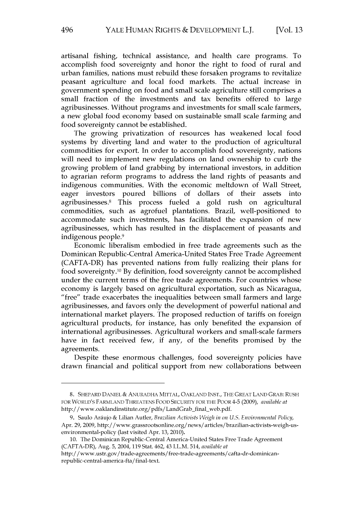artisanal fishing, technical assistance, and health care programs. To accomplish food sovereignty and honor the right to food of rural and urban families, nations must rebuild these forsaken programs to revitalize peasant agriculture and local food markets. The actual increase in government spending on food and small scale agriculture still comprises a small fraction of the investments and tax benefits offered to large agribusinesses. Without programs and investments for small scale farmers, a new global food economy based on sustainable small scale farming and food sovereignty cannot be established.

The growing privatization of resources has weakened local food systems **by** diverting land and water to the production of agricultural commodities for export. In order to accomplish food sovereignty, nations will need to implement new regulations on land ownership to curb the growing problem of land grabbing **by** international investors, in addition to agrarian reform programs to address the land rights of peasants and indigenous communities. With the economic meltdown of Wall Street, eager investors poured billions of dollars of their assets into agribusinesses.<sup>8</sup> This process fueled a gold rush on agricultural commodities, such as agrofuel plantations. Brazil, well-positioned to accommodate such investments, has facilitated the expansion of new agribusinesses, which has resulted in the displacement of peasants and indigenous people.<sup>9</sup>

Economic liberalism embodied in free trade agreements such as the Dominican Republic-Central America-United States Free Trade Agreement (CAFTA-DR) has prevented nations from fully realizing their plans for food sovereignty. <sup>10</sup>**By** definition, food sovereignty cannot be accomplished under the current terms of the free trade agreements. For countries whose economy is largely based on agricultural exportation, such as Nicaragua, "free" trade exacerbates the inequalities between small farmers and large agribusinesses, and favors only the development of powerful national and international market players. The proposed reduction of tariffs on foreign agricultural products, for instance, has only benefited the expansion of international agribusinesses. Agricultural workers and small-scale farmers have in fact received few, if any, of the benefits promised **by** the agreements.

Despite these enormous challenges, food sovereignty policies have drawn financial and political support from new collaborations between

**<sup>8.</sup>** SHEPARD **DANIEL & ANURADHA** MITTAL, **OAKLAND INST.,** THE GREAT **LAND** GRAB: **RUSH** FOR WORLD'S FARMLAND THREATENS FOOD SECURITY FOR THE POOR 4-5 **(2009),** *available at* http://www.oaklandinstitute.org/pdfs/LandGrab-final-web.pdf.

**<sup>9.</sup>** Saulo Araujo **&** Lilian Autler, *Brazilian Activists Weigh in on U.S. Environmental Policy,* Apr. **29, 2009,** http://www.grassrootsonline.org/news/articles/brazilian-activists-weigh-usenvironmental-policy (last visited Apr. **13,** 2010).

**<sup>10.</sup>** The Dominican Republic-Central America-United States Free Trade Agreement (CAFTA-DR), Aug. **5,** 2004, 119 Stat. 462, 43 I.L.M. 514, *available at*

http://www.ustr.gov/trade-agreements/free-trade-agreements/cafta-dr-dominicanrepublic-central-america-fta/final-text.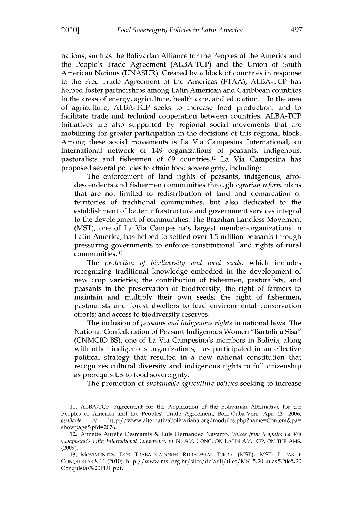nations, such as the Bolivarian Alliance for the Peoples of the America and the People's Trade Agreement (ALBA-TCP) and the Union of South American Nations **(UNASUR).** Created **by** a block of countries in response to the Free Trade Agreement of the Americas **(FTAA),** ALBA-TCP has helped foster partnerships among Latin American and Caribbean countries in the areas of energy, agriculture, health care, and education. **11** In the area of agriculture, ALBA-TCP seeks to increase food production, and to facilitate trade and technical cooperation between countries. ALBA-TCP initiatives are also supported **by** regional social movements that are mobilizing for greater participation in the decisions of this regional block. Among these social movements is La Via Campesina International, an international network of 149 organizations of peasants, indigenous, pastoralists and fishermen of **69** countries. 12 La Via Campesina has proposed several policies to attain food sovereignty, including:

The enforcement of land rights of peasants, indigenous, afrodescendents and fishermen communities through *agrarian reform* plans that are not limited to redistribution of land and demarcation of territories of traditional communities, but also dedicated to the establishment of better infrastructure and government services integral to the development of communities. The Brazilian Landless Movement (MST), one of La Via Campesina's largest member-organizations in Latin America, has helped to settled over **1.5** million peasants through pressuring governments to enforce constitutional land rights of rural communities. **<sup>13</sup>**

*The protection of biodiversity and local seeds,* which includes recognizing traditional knowledge embodied in the development of new crop varieties; the contribution of fishermen, pastoralists, and peasants in the preservation of biodiversity; the right of farmers to maintain and multiply their own seeds; the right of fishermen, pastoralists and forest dwellers to lead environmental conservation efforts; and access to biodiversity reserves.

The inclusion of *peasants and indigenous rights* in national laws. The National Confederation of Peasant Indigenous Women "Bartolina Sisa" **(CNMCIO-BS),** one of La Via Campesina's members in Bolivia, along with other indigenous organizations, has participated in an effective political strategy that resulted in a new national constitution that recognizes cultural diversity and indigenous rights to full citizenship as prerequisites to food sovereignty.

The promotion of *sustainable agriculture policies* seeking to increase

**<sup>11.</sup>** ALBA-TCP, Agreement for the Application of the Bolivarian Alternative for the Peoples of America and the Peoples' Trade Agreement, Boli.-Cuba-Ven., Apr. **29, 2006,** *available at* http://www.alternativabolivariana.org/modules.php?name=Content&pa= showpage&pid=2076.

<sup>12.</sup> Annette Aur6lie Desmarais **&** Luis Hernandez Navarro, *Voices from Maputo: La Via Campesina's Fifth International Conference, in* **N.** AM. **CONG. ON** LATIN AM. REP. **ON** THE AMS. **(2009).**

**<sup>13.</sup>** MOVIMENTOS Dos TRABALMADORES RURALSSEM TERRA (MST), MST: **LUTAS E CONQUISTAS 8-11** (2010), http://www.mst.org.br/sites/default/files/MST20Lutas%20e%20 Conquistas%20PDF.pdf.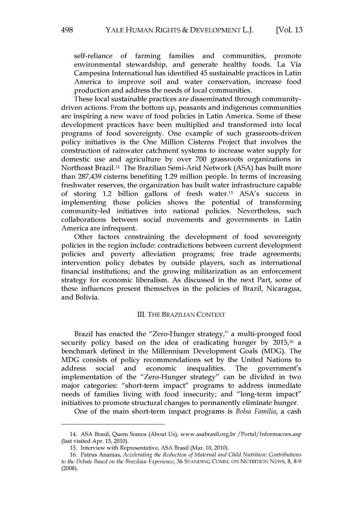self-reliance of farming families and communities, promote environmental stewardship, and generate healthy foods. La Via Campesina International has identified 45 sustainable practices in Latin America to improve soil and water conservation, increase food production and address the needs of local communities.

These local sustainable practices are disseminated through communitydriven actions. From the bottom up, peasants and indigenous communities are inspiring a new wave of food policies in Latin America. Some of these development practices have been multiplied and transformed into local programs of food sovereignty. One example of such grassroots-driven policy initiatives is the One Million Cisterns Project that involves the construction of rainwater catchment systems to increase water supply for domestic use and agriculture **by** over **700** grassroots organizations in Northeast Brazil. 14 The Brazilian Semi-Arid Network **(ASA)** has built more than **287,439** cisterns benefiting **1.29** million people. In terms of increasing freshwater reserves, the organization has built water infrastructure capable of storing 1.2 billion gallons of fresh water."s ASA's success in implementing those policies shows the potential of transforming community-led initiatives into national policies. Nevertheless, such collaborations between social movements and governments in Latin America are infrequent.

Other factors constraining the development of food sovereignty policies in the region include: contradictions between current development policies and poverty alleviation programs; free trade agreements; intervention policy debates **by** outside players, such as international financial institutions; and the growing militarization as an enforcement strategy for economic liberalism. As discussed in the next Part, some of these influences present themselves in the policies of Brazil, Nicaragua, and Bolivia.

#### III. THE BRAZILIAN **CONTEXT**

Brazil has enacted the "Zero-Hunger strategy," a multi-pronged food security policy based on the idea of eradicating hunger **by 2015,16** a benchmark defined in the Millennium Development Goals **(MDG).** The **MDG** consists of policy recommendations set **by** the United Nations to address social and economic inequalities. The government's implementation of the "Zero-Hunger strategy" can be divided in two major categories: "short-term impact" programs to address immediate needs of families living with food insecurity; and "long-term impact" initiatives to promote structural changes to permanently eliminate hunger.

One of the main short-term impact programs is *Bolsa Familia,* a cash

<sup>14.</sup> **ASA** Brasil, Quem Somos (About Us), www.asabrasil.org.br /Portal/Informacoes.asp (last visited Apr. **15,** 2010).

**<sup>15.</sup>** Interview with Representative, **ASA** Brasil (Mar. **10,** 2010).

**<sup>16.</sup>** Patrus Ananias, *Accelerating the Reduction of Maternal and Child Nutrition: Contributions to the Debate Based on the Brazilian Experience,* **36 STANDING COMM. ON NUTRITION NEWS, 8, 8-9 (2008).**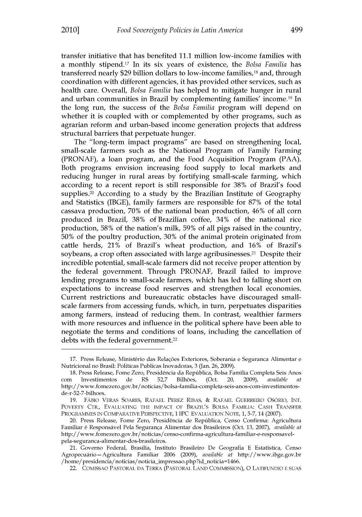transfer initiative that has benefited **11.1** million low-income families with a monthly stipend. 7 In its six years of existence, the *Bolsa Familia has* transferred nearly **\$29** billion dollars to low-income families," and, through coordination with different agencies, it has provided other services, such as health care. Overall, *Bolsa Familia* has helped to mitigate hunger in rural and urban communities in Brazil by complementing families' income.<sup>19</sup> In the long run, the success of the *Bolsa Familia* program will depend on whether it is coupled with or complemented **by** other programs, such as agrarian reform and urban-based income generation projects that address structural barriers that perpetuate hunger.

The "long-term impact programs" are based on strengthening local, small-scale farmers such as the National Program of Family Farming (PRONAF), a loan program, and the Food Acquisition Program **(PAA).** Both programs envision increasing food supply to local markets and reducing hunger in rural areas **by** fortifying small-scale farming, which according to a recent report is still responsible for **38%** of Brazil's food supplies. 20 According to a study **by** the Brazilian Institute of Geography and Statistics (IBGE), family farmers are responsible for **87%** of the total cassava production, **70%** of the national bean production, 46% of all corn produced in Brazil, **38%** of Brazilian coffee, 34% of the national rice production, **58%** of the nation's milk, **59%** of all pigs raised in the country, **50%** of the poultry production, **30%** of the animal protein originated from cattle herds, 21% of Brazil's wheat production, and **16%** of Brazil's soybeans, a crop often associated with large agribusinesses.<sup>21</sup> Despite their incredible potential, small-scale farmers did not receive proper attention **by** the federal government. Through PRONAF, Brazil failed to improve lending programs to small-scale farmers, which has led to falling short on expectations to increase food reserves and strengthen local economies. Current restrictions and bureaucratic obstacles have discouraged smallscale farmers from accessing funds, which, in turn, perpetuates disparities among farmers, instead of reducing them. In contrast, wealthier farmers with more resources and influence in the political sphere have been able to negotiate the terms and conditions of loans, including the cancellation of debts with the federal government.<sup>22</sup>

<sup>17.</sup> Press Release, Ministério das Relações Exteriores, Soberania e Seguranca Alimentar e Nutricional no Brasil: Politicas Publicas Inovadoras, **3** (Jan. **26, 2009).**

**<sup>18.</sup>** Press Release, Fome Zero, Presidencia da Republica, Bolsa Familia Completa Seis Anos Investimentos de R\$ 52,7 Bilhões, (Oct. 20, 2009), *available* http://www.fomezero.gov.br/noticias/bolsa-familia-completa-seis-anos-com-investimentosde-r-52-7-bilhoes.

**<sup>19.</sup>** FABlO VERAS SOARES, RAFAEL PEREZ RIBAS, **&** RAFAEL GUERREIRO OSORIo, **INT.** POVERTY CTR., **EVALUATING** THE IMPACT OF BRAZIL'S **BOLSA** FAMILIA: **CASH** TRANSFER PROGRAMMES IN COMPARATIVE PERSPECTIVE, **1 IPC EVALUATION NOTE, 1,** 5-7, 14 **(2007).**

<sup>20.</sup> Press Release, Fome Zero, Presidencia de Republica, Censo Confirma: Agricultura Familiar **6** Responsavel Pela Seguranga Alimentar dos Brasileiros (Oct. **13, 2007),** *available at* http://www.fomezero.gov.br/noticias/censo-confirma-agricultura-familiar-e-responsavelpela-seguranca-alimentar-dos-brasileiros.

<sup>21.</sup> Governo Federal, Brasilia, Instituto Brasileiro De Geografia **E** Estatistica, Censo Agropecudrio-Agricultura Familiar **2006 (2009),** *available at* http://www.ibge.gov.br /home/presidencia/noticias/noticia\_impressao.php?id\_noticia=1466.

<sup>22.</sup> COMISSAO PASTORAL **DA** TERRA (PASTORAL **LAND** COMMISSION), **0** LATIFUNDIO **E SUAS**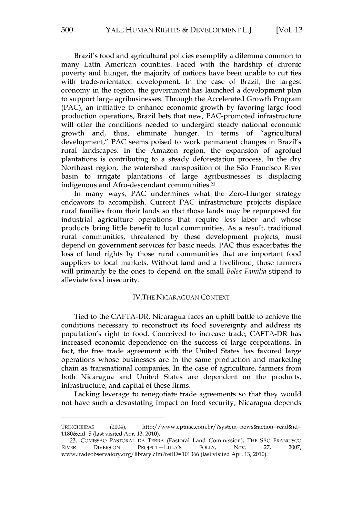Brazil's food and agricultural policies exemplify a dilemma common to many Latin American countries. Faced with the hardship of chronic poverty and hunger, the majority of nations have been unable to cut ties with trade-orientated development. In the case of Brazil, the largest economy in the region, the government has launched a development plan to support large agribusinesses. Through the Accelerated Growth Program **(PAC),** an initiative to enhance economic growth **by** favoring large food production operations, Brazil bets that new, PAC-promoted infrastructure will offer the conditions needed to undergird steady national economic growth and, thus, eliminate hunger. In terms of "agricultural development," **PAC** seems poised to work permanent changes in Brazil's rural landscapes. In the Amazon region, the expansion of agrofuel plantations is contributing to a steady deforestation process. In the dry Northeast region, the watershed transposition of the Sio Francisco River basin to irrigate plantations of large agribusinesses is displacing indigenous and Afro-descendant communities.<sup>23</sup>

In many ways, **PAC** undermines what the Zero-Hunger strategy endeavors to accomplish. Current **PAC** infrastructure projects displace rural families from their lands so that those lands may be repurposed for industrial agriculture operations that require less labor and whose products bring little benefit to local communities. As a result, traditional rural communities, threatened **by** these development projects, must depend on government services for basic needs. **PAC** thus exacerbates the loss of land rights **by** those rural communities that are important food suppliers to local markets. Without land and a livelihood, those farmers will primarily be the ones to depend on the small *Bolsa Familia* stipend to alleviate food insecurity.

### IV.THE **NICARAGUAN CONTEXT**

Tied to the CAFTA-DR, Nicaragua faces an uphill battle to achieve the conditions necessary to reconstruct its food sovereignty and address its population's right to food. Conceived to increase trade, CAFTA-DR has increased economic dependence on the success of large corporations. In fact, the free trade agreement with the United States has favored large operations whose businesses are in the same production and marketing chain as transnational companies. In the case of agriculture, farmers from both Nicaragua and United States are dependent on the products, infrastructure, and capital of these firms.

Lacking leverage to renegotiate trade agreements so that they would not have such a devastating impact on food security, Nicaragua depends

TRINCHEIRAS (2004), http://www.cptnac.com.br/?system=news&action=read&id= 1180&eid=5 (last visited Apr. **13,** 2010).

**<sup>23.</sup>** COMISSAO PASTORAL **DA** TERRA (Pastoral Land Commission), THE SAO *FRANCISCO* RIVER DIVERSION PROJECT **- LULA'S** FOLLY, Nov. **27, 2007,** www.tradeobservatory.org/ibrary.cfm?reflD=101066 (last visited Apr. **13,** 2010).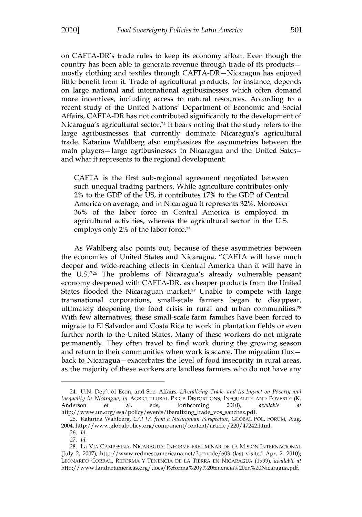on CAFTA-DR's trade rules to keep its economy afloat. Even though the country has been able to generate revenue through trade of its products  mostly clothing and textiles through CAFTA-DR-Nicaragua has enjoyed little benefit from it. Trade of agricultural products, for instance, depends on large national and international agribusinesses which often demand more incentives, including access to natural resources. According to a recent study of the United Nations' Department of Economic and Social Affairs, CAFTA-DR has not contributed significantly to the development of Nicaragua's agricultural sector.<sup>24</sup> It bears noting that the study refers to the large agribusinesses that currently dominate Nicaragua's agricultural trade. Katarina Wahlberg also emphasizes the asymmetries between the main players-large agribusinesses in Nicaragua and the United Sates- and what it represents to the regional development:

**CAFTA** is the first sub-regional agreement negotiated between such unequal trading partners. While agriculture contributes only 2% to the **GDP** of the **US,** it contributes **17%** to the **GDP** of Central America on average, and in Nicaragua it represents **32%.** Moreover **36%** of the labor force in Central America is employed in agricultural activities, whereas the agricultural sector in the **U.S.** employs only 2% of the labor force.<sup>25</sup>

As Wahlberg also points out, because of these asymmetries between the economies of United States and Nicaragua, **"CAFTA** will have much deeper and wide-reaching effects in Central America than it will have in the **U.S."26** The problems of Nicaragua's already vulnerable peasant economy deepened with CAFTA-DR, as cheaper products from the United States flooded the Nicaraguan market.<sup>27</sup> Unable to compete with large transnational corporations, small-scale farmers began to disappear, ultimately deepening the food crisis in rural and urban communities. <sup>28</sup> With few alternatives, these small-scale farm families have been forced to migrate to **El** Salvador and Costa Rica to work in plantation fields or even further north to the United States. Many of these workers do not migrate permanently. They often travel to find work during the growing season and return to their communities when work is scarce. The migration flux  back to Nicaragua – exacerbates the level of food insecurity in rural areas, as the majority of these workers are landless farmers who do not have any

<sup>24.</sup> **U.N.** Dep't of Econ. and Soc. Affairs, *Liberalizing Trade, and Its Impact on Poverty and Inequality in Nicaragua, in* AGRICUTLURAL PRICE DISTORTIONS, **INEQUALITY AND** POVERTY (K. Anderson et al. eds, forthcoming 2010), *available at* http://www.un.org/esa/policy/events/iberalizing-trade-vos-sanchez.pdf.

**<sup>25.</sup>** Katarina Wahlberg, *CAFTA from a Nicaraguan Perspective,* GLOBAL POL. FORUM, Aug. 2004, http://www.globalpolicy.org/component/content/article /220/47242.html.

**<sup>26.</sup>** *Id.* **27.** *Id.*

**<sup>28.</sup>** La VIA CAMPESINA, NICARAGUA: INFORME PRELIMINAR **DE LA** MISION INTERNACIONAL (July 2, **2007),** http://www.redmesoamericana.net/?q=node/603 (last visited Apr. 2, 2010); LEONARDO CORRAL, REFORMA **Y TENENCIA DE LA** TIERRA **EN** NICARAGUA **(1999),** *available at* http://www.landnetamericas.org/docs/Reforma%20y%20tenencia%20en%20Nicaragua.pdf.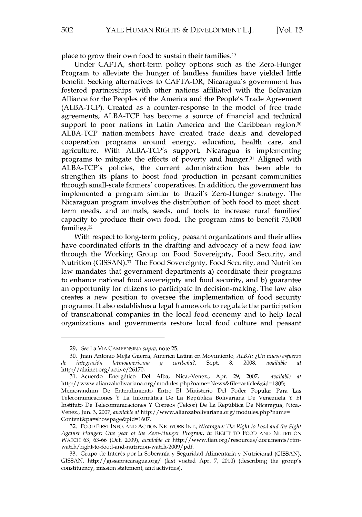place to grow their own food to sustain their families.<sup>29</sup>

Under **CAFTA,** short-term policy options such as the Zero-Hunger Program to alleviate the hunger of landless families have yielded little benefit. Seeking alternatives to CAFTA-DR, Nicaragua's government has fostered partnerships with other nations affiliated with the Bolivarian Alliance for the Peoples of the America and the People's Trade Agreement (ALBA-TCP). Created as a counter-response to the model of free trade agreements, ALBA-TCP has become a source of financial and technical support to poor nations in Latin America and the Caribbean region. $30$ ALBA-TCP nation-members have created trade deals and developed cooperation programs around energy, education, health care, and agriculture. With ALBA-TCP's support, Nicaragua is implementing programs to mitigate the effects of poverty and hunger.<sup>31</sup> Aligned with ALBA-TCP's policies, the current administration has been able to strengthen its plans to boost food production in peasant communities through small-scale farmers' cooperatives. In addition, the government has implemented a program similar to Brazil's Zero-Hunger strategy. The Nicaraguan program involves the distribution of both food to meet shortterm needs, and animals, seeds, and tools to increase rural families' capacity to produce their own food. The program aims to benefit **75,000** families. <sup>32</sup>

With respect to long-term policy, peasant organizations and their allies have coordinated efforts in the drafting and advocacy of a new food law through the Working Group on Food Sovereignty, Food Security, and Nutrition **(GISSAN).13** The Food Sovereignty, Food Security, and Nutrition law mandates that government departments a) coordinate their programs to enhance national food sovereignty and food security, and **b)** guarantee an opportunity for citizens to participate in decision-making. The law also creates a new position to oversee the implementation of food security programs. It also establishes a legal framework to regulate the participation of transnational companies in the local food economy and to help local organizations and governments restore local food culture and peasant

**<sup>29.</sup>** *See* La VIA **CAMPENSINA** *supra,* note **25.**

**<sup>30.</sup>** Juan Antonio Mejia Guerra, America Latina en Movimiento, *ALBA: U Ln nuevo esfuerzo de integracidn latinoamnericana y caribenta?,* Sept. **8, 2008,** *available at* http:/ / alainet.org/active/26170.

**<sup>31.</sup>** Acuerdo Energetico Del Alba, Nica.-Venez., Apr. **29, 2007,** *available at* http://www.alianzabolivariana.org/modules.php?name=News&file=article&sid=1805; Memorandum De Entendimiento Entre **El** Ministerio Del Poder Popular Para Las Telecomunicaciones Y La Informatica De La Republica Bolivariana De Venezuela Y **El** Instituto De Telecomunicaciones Y Correos (Telcor) De La Republica De Nicaragua, Nica.- Venez., Jun. 3, 2007, *available at http://www.alianzabolivariana.org/modules.php?name=* Content&pa=showpage&pid=1607.

**<sup>32.</sup>** FOOD FIRST **INFO. AND** ACTION NETWORK **INT.,** *Nicaragua: The Right to Food and the Fight Against Hunger: One year of the Zero-Hunger Program, in* RIGHT TO FOOD **AND** NUTRITION WATCH **63, 63-66** (Oct. **2009),** *available at* http://www.fian.org/resources/documents/rtfnwatch/right-to-food-and-nutrition-watch-2009/pdf.

**<sup>33.</sup>** Grupo de Interes por la Soberania **y** Seguridad Alimentaria **y** Nutricional **(GISSAN), GISSAN,** http://gissannicaragua.org/ (last visited Apr. **7,** 2010) (describing the group's constituency, mission statement, and activities).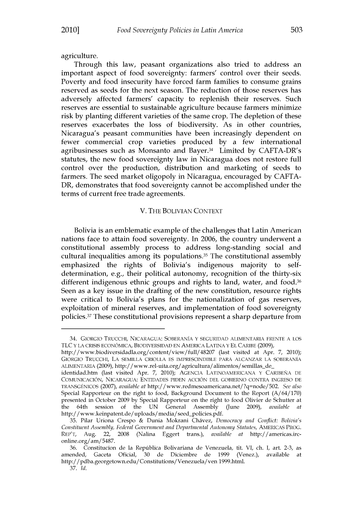agriculture.

Through this law, peasant organizations also tried to address an important aspect of food sovereignty: farmers' control over their seeds. Poverty and food insecurity have forced farm families to consume grains reserved as seeds for the next season. The reduction of those reserves has adversely affected farmers' capacity to replenish their reserves. Such reserves are essential to sustainable agriculture because farmers minimize risk **by** planting different varieties of the same crop. The depletion of these reserves exacerbates the loss of biodiversity. As in other countries, Nicaragua's peasant communities have been increasingly dependent on fewer commercial crop varieties produced **by** a few international agribusinesses such as Monsanto and Bayer.34 Limited **by** CAFTA-DR's statutes, the new food sovereignty law in Nicaragua does not restore full control over the production, distribution and marketing of seeds to farmers. The seed market oligopoly in Nicaragua, encouraged **by CAFTA-**DR, demonstrates that food sovereignty cannot be accomplished under the terms of current free trade agreements.

#### V. THE **BOLIVIAN CONTEXT**

Bolivia is an emblematic example of the challenges that Latin American nations face to attain food sovereignty. In **2006,** the country underwent a constitutional assembly process to address long-standing social and cultural inequalities among its populations. $35$  The constitutional assembly emphasized the rights of Bolivia's indigenous majority to selfdetermination, e.g., their political autonomy, recognition of the thirty-six different indigenous ethnic groups and rights to land, water, and food.<sup>36</sup> Seen as a key issue in the drafting of the new constitution, resource rights were critical to Bolivia's plans for the nationalization of gas reserves, exploitation of mineral reserves, and implementation of food sovereignty policies.<sup>37</sup> These constitutional provisions represent a sharp departure from

http://www.biodiversidadla.org/content/view/full/48207 (last visited at Apr. **7,** 2010); GIORGIO TRUCCHI, **LA** SEMILLA CRIOLLA **ES** IMPRESCINDIBLE PARA ALCANZAR **LA** SOBERANIA ALIMENTARIA **(2009),** http://www.rel-uita.org/agricultura/alimentos/semillas de

<sup>34.</sup> GIORGIO TRUCCHI, NICARAGUA: SOBERANIA Y SEGURIDAD ALIMENTARIA FRENTE **A** LOS **TLC** Y **LA CRISIS** ECONOMICA, BIODIVERSIDAD **EN** AMERICA LATINA **Y EL** CARIBE **(2009),**

identidad.htrn (last visited Apr. **7,** 2010); AGENCIA LATINOAMERICANA **Y** CARIBENA **DE COMUNICACION, NICARAGUA:** ENTIDADES **PIDEN ACCION DEL** GOBIERNO CONTRA **INGRESO DE** TRANSGENICOS **(2007),** *available at* http://www.redmesoamericana.net/?q=node/502. *See also* Special Rapporteur on the right to food, Background Document to the Report **(A/64/170)** presented in October **2009 by** Special Rapporteur on the right to food Olivier de Schutter at the 64th session of the UN General Assembly (June 2009), *available* http://www.keinpatent.de/uploads/media/seed-policies.pdf.

**<sup>35.</sup>** Pilar Uriona Crespo **&** Dunia Mokrani Chavez, *Democracy and Conflict: Bolivia's Constituent Assenibly, Federal Government and Departmental Autonomy Statutes,* AMERICAS PROG. REP'T, Aug. 22, **2008** (Nalina Eggert trans.), *available at* http://americas.irconline.org/am/5487.

**<sup>36.</sup>** Constitucion de la Republica Bolivariana de Venezuela, tit. VI, ch. **I,** art. **2-3,** as amended, Gaceta Oficial, **30** de Diciembre de **1999** (Venez.), available at http://pdba.georgetown.edu/Constitutions/Venezuela/ven 1999.html.

*<sup>37.</sup> Td.*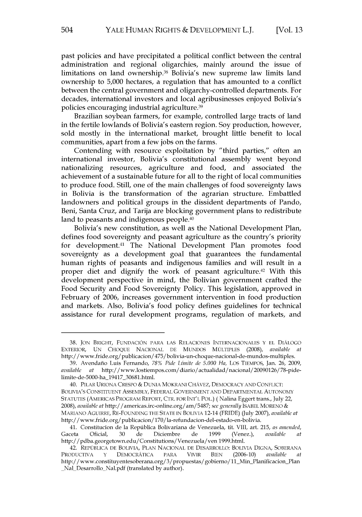past policies and have precipitated a political conflict between the central administration and regional oligarchies, mainly around the issue of limitations on land ownership.<sup>38</sup> Bolivia's new supreme law limits land ownership to **5,000** hectares, a regulation that has amounted to a conflict between the central government and oligarchy-controlled departments. For decades, international investors and local agribusinesses enjoyed Bolivia's policies encouraging industrial agriculture.39

Brazilian soybean farmers, for example, controlled large tracts of land in the fertile lowlands of Bolivia's eastern region. Soy production, however, sold mostly in the international market, brought little benefit to local communities, apart from a few jobs on the farms.

Contending with resource exploitation **by** "third parties," often an international investor, Bolivia's constitutional assembly went beyond nationalizing resources, agriculture and food, and associated the achievement of a sustainable future for all to the right of local communities to produce food. Still, one of the main challenges of food sovereignty laws in Bolivia is the transformation of the agrarian structure. Embattled landowners and political groups in the dissident departments of Pando, Beni, Santa Cruz, and Tarija are blocking government plans to redistribute land to peasants and indigenous people.<sup>40</sup>

Bolivia's new constitution, as well as the National Development Plan, defines food sovereignty and peasant agriculture as the country's priority for development.<sup>41</sup> The National Development Plan promotes food sovereignty as a development goal that guarantees the fundamental human rights of peasants and indigenous families and will result in a proper diet and dignify the work of peasant agriculture.<sup>42</sup> With this development perspective in mind, the Bolivian government crafted the Food Security and Food Sovereignty Policy. This legislation, approved in February of **2006,** increases government intervention in food production and markets. Also, Bolivia's food policy defines guidelines for technical assistance for rural development programs, regulation of markets, and

**<sup>38.</sup> JON** BRIGHT, **FUNDACION** PARA LAS RELACIONES **INTERNACIONALES** Y **EL** DIALOGO EXTERIOR, **UN CHOQUE NACIONAL DE MUNDOS** MULTIPLES **(2008),** *available at* http://www.fride.org/publicacion/475/bolivia-un-choque-nacional-de-mundos-multiples.

**<sup>39.</sup>** Avendano Luis Fernando, **78%** *Pide Limite de 5.000 Ha,* Los TIEMPOS, Jan. **26, 2009,** *available at* http://www.lostiempos.com/diario/actualidad/nacional/20090126/78-pidelimite-de-5000-ha 19417 30681.html.

<sup>40.</sup> PILAR URIONA CRESPO **&** DUNIA MOKRANI CHAVEZ, DEMOCRACY **AND** CONFLICT: BOLIVIA'S **CONSTITUENT ASSEMBLY,** FEDERAL **GOVERNMENT AND DEPARTMENTAL AUTONOMY STATUTES** (AMERICAS PROGRAM REPORT, CTR. FOR **INT'L** POL.) (Nalina Eggert trans., July 22, *2008), available at* http://americas.irc-online.org/am/5487; *see generally* **ISABEL** MORENO **&** MARIANO AGUIRRE, RE-FOUNDING THE **STATE** IN BOLIVIA 12-14 (FRIDE) (July **2007),** *available at* http://www.fride.org/publicacion/170/la-refundacion-del-estado-en-bolivia.

<sup>41.</sup> Constitucion de la Republica Bolivariana de Venezuela, *tit.* VIII, art. **215,** *as amended,* Gaceta Oficial, **30** de Diciembre de **1999** (Venez.), *available at* http://pdba.georgetown.edu/Constitutions/Venezuela/ven 1999.html.

<sup>42.</sup> REPUBLICA **DE** BOLIVIA, **PLAN NACIONAL DE** DESARROLLO: BOLIVIA DIGNA, **SOBERANA** PRODUCTIVA **Y** DEMOCRATICA PARA VIVIR BIEN **(2006-10)** *available at* http://www.constituyentesoberana.org/3/propuestas/gobierno/11\_Min\_Planificacion\_Plan Nal Desarrollo Nal.pdf (translated **by** author).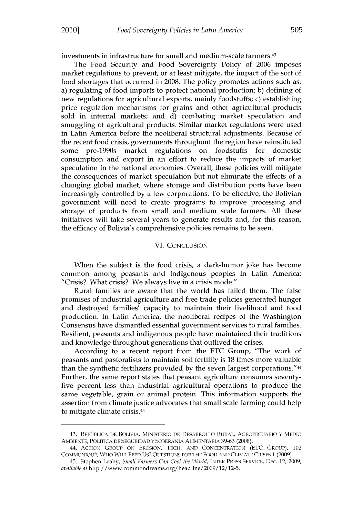investments in infrastructure for small and medium-scale farmers.<sup>43</sup>

The Food Security and Food Sovereignty Policy of **2006** imposes market regulations to prevent, or at least mitigate, the impact of the sort of food shortages that occurred in **2008.** The policy promotes actions such as: a) regulating of food imports to protect national production; **b)** defining of new regulations for agricultural exports, mainly foodstuffs; c) establishing price regulation mechanisms for grains and other agricultural products sold in internal markets; and **d)** combating market speculation and smuggling of agricultural products. Similar market regulations were used in Latin America before the neoliberal structural adjustments. Because of the recent food crisis, governments throughout the region have reinstituted some pre-1990s market regulations on foodstuffs for domestic consumption and export in an effort to reduce the impacts of market speculation in the national economies. Overall, these policies will mitigate the consequences of market speculation but not eliminate the effects of a changing global market, where storage and distribution ports have been increasingly controlled **by** a few corporations. To be effective, the Bolivian government will need to create programs to improve processing and storage of products from small and medium scale farmers. **All** these initiatives will take several years to generate results and, for this reason, the efficacy of Bolivia's comprehensive policies remains to be seen.

#### VI. **CONCLUSION**

When the subject is the food crisis, a dark-humor joke has become common among peasants and indigenous peoples in Latin America: "Crisis? What crisis? We always live in a crisis mode."

Rural families are aware that the world has failed them. The false promises of industrial agriculture and free trade policies generated hunger and destroyed families' capacity to maintain their livelihood and food production. In Latin America, the neoliberal recipes of the Washington Consensus have dismantled essential government services to rural families. Resilient, peasants and indigenous people have maintained their traditions and knowledge throughout generations that outlived the crises.

According to a recent report from the **ETC** Group, "The work of peasants and pastoralists to maintain soil fertility is **18** times more valuable than the synthetic fertilizers provided **by** the seven largest corporations."44 Further, the same report states that peasant agriculture consumes seventyfive percent less than industrial agricultural operations to produce the same vegetable, grain or animal protein. This information supports the assertion from climate justice advocates that small scale farming could help to mitigate climate crisis.<sup>45</sup>

<sup>43.</sup> REPUJBLICA **DE** BOLIVIA, MINISTERIO **DE** DESARROLLO RURAL, AGROPECUARIO Y MEDIO **AMBIENTE,** POLITICA **DE** SEGURIDAD Y SOBERANIA ALIMENTARIA **39-63 (2008).**

<sup>44.</sup> ACTION GROUP **ON** EROSION, **TECH. AND** CONCENTRATION **(ETC** GROUP), 102 **COMMUNIQUE,** WHO WILL **FEED Us? QUESTIONS** FOR THE FOOD **AND CLIMATE** CRISES **1 (2009).**

<sup>45.</sup> Stephen Leahy, *Small Farmers Can Cool the World,* INTER PRESS SERVICE, Dec. 12, **2009,** *available at* http:/ /www.commondreams.org/headline/2009/12/12-5.